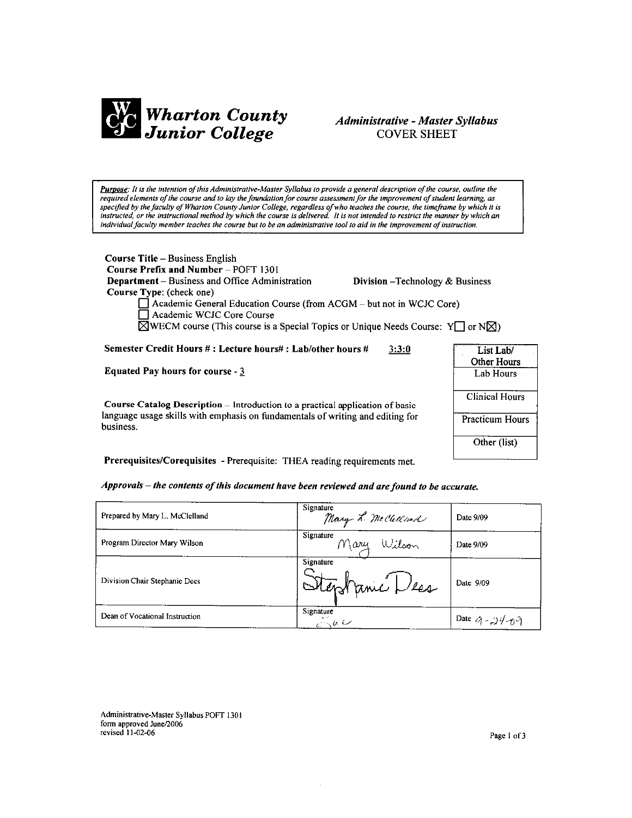

# Administrative - Master Syllabus **COVER SHEET**

Purpose: It is the intention of this Administrative-Master Syllabus to provide a general description of the course, outline the required elements of the course and to lay the foundation for course assessment for the improvement of student learning, as specified by the faculty of Wharton County Junior College, regardless of who teaches the course, the timeframe by which it is instructed, or the instructional method by which the course is delivered. It is not intended to restrict the manner by which an individual faculty member teaches the course but to be an administrative tool to aid in the improvement of instruction.

Course Title - Business English Course Prefix and Number - POFT 1301 **Department** – Business and Office Administration Course Type: (check one)

Division - Technology & Business

 $\Box$  Academic General Education Course (from ACGM – but not in WCJC Core) Academic WCJC Core Course  $\boxtimes$ WECM course (This course is a Special Topics or Unique Needs Course: Y or N $\boxtimes$ )

Semester Credit Hours #: Lecture hours#: Lab/other hours #  $3:3:0$ 

**Equated Pay hours for course - 3** 

Course Catalog Description - Introduction to a practical application of basic language usage skills with emphasis on fundamentals of writing and editing for business.



Prerequisites/Corequisites - Prerequisite: THEA reading requirements met.

Approvals - the contents of this document have been reviewed and are found to be accurate.

| Prepared by Mary L. McClelland | Signature<br>Mary L. McClelland | Date 9/09                     |
|--------------------------------|---------------------------------|-------------------------------|
| Program Director Mary Wilson   | Signature<br>Mary Wilson        | Date 9/09                     |
| Division Chair Stephanie Dees  | Signature<br>Stephanic Dess     | Date 9/09                     |
| Dean of Vocational Instruction | Signature<br>$\sim a \sim$      | Date $\alpha$ - $24\pi\gamma$ |

Administrative-Master Syllabus POFT 1301 form approved June/2006 revised 11-02-06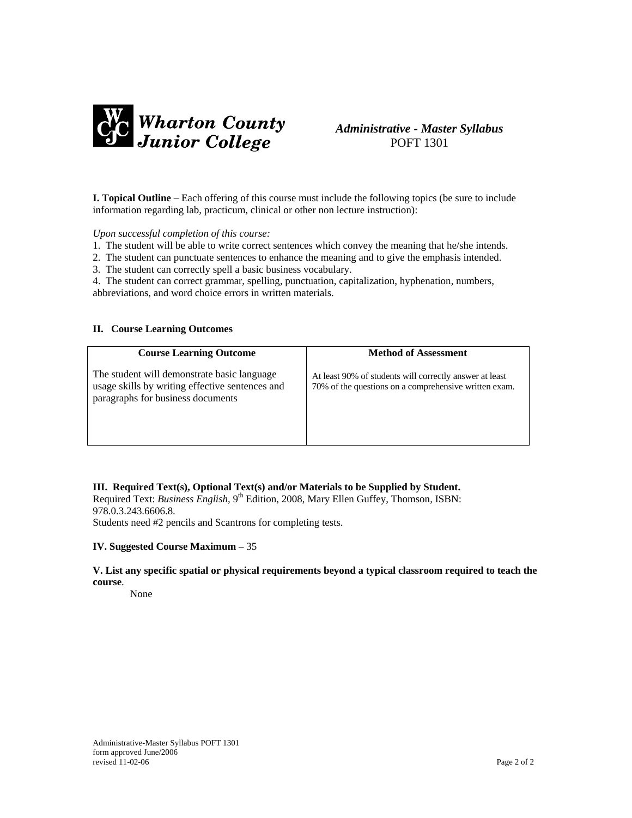

# *Administrative - Master Syllabus*  POFT 1301

**I. Topical Outline** – Each offering of this course must include the following topics (be sure to include information regarding lab, practicum, clinical or other non lecture instruction):

#### *Upon successful completion of this course:*

- 1. The student will be able to write correct sentences which convey the meaning that he/she intends.
- 2. The student can punctuate sentences to enhance the meaning and to give the emphasis intended.
- 3. The student can correctly spell a basic business vocabulary.
- 4. The student can correct grammar, spelling, punctuation, capitalization, hyphenation, numbers, abbreviations, and word choice errors in written materials.

#### **II. Course Learning Outcomes**

| <b>Course Learning Outcome</b>                                                                                                      | <b>Method of Assessment</b>                                                                                      |
|-------------------------------------------------------------------------------------------------------------------------------------|------------------------------------------------------------------------------------------------------------------|
| The student will demonstrate basic language<br>usage skills by writing effective sentences and<br>paragraphs for business documents | At least 90% of students will correctly answer at least<br>70% of the questions on a comprehensive written exam. |

### **III. Required Text(s), Optional Text(s) and/or Materials to be Supplied by Student.**

Required Text: *Business English*, 9<sup>th</sup> Edition, 2008, Mary Ellen Guffey, Thomson, ISBN: 978.0.3.243.6606.8. Students need #2 pencils and Scantrons for completing tests.

#### **IV. Suggested Course Maximum** – 35

### **V. List any specific spatial or physical requirements beyond a typical classroom required to teach the course**.

None